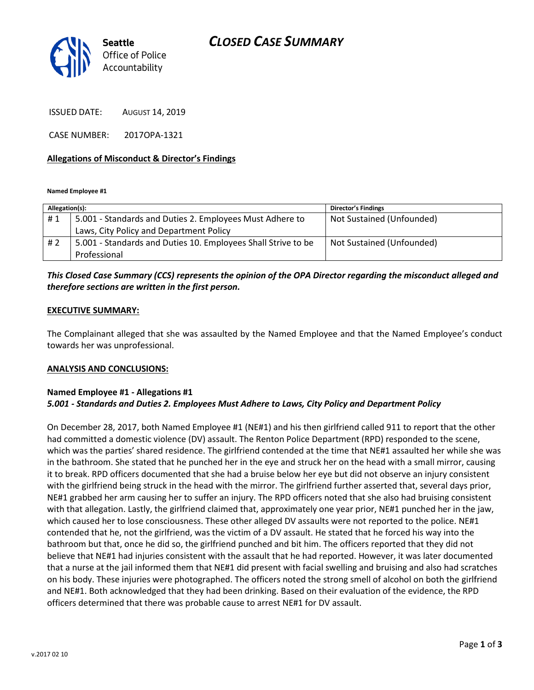# *CLOSED CASE SUMMARY*



ISSUED DATE: AUGUST 14, 2019

CASE NUMBER: 2017OPA-1321

### **Allegations of Misconduct & Director's Findings**

**Named Employee #1**

| Allegation(s): |                                                               | <b>Director's Findings</b> |
|----------------|---------------------------------------------------------------|----------------------------|
| #1             | 5.001 - Standards and Duties 2. Employees Must Adhere to      | Not Sustained (Unfounded)  |
|                | Laws, City Policy and Department Policy                       |                            |
| # 2            | 5.001 - Standards and Duties 10. Employees Shall Strive to be | Not Sustained (Unfounded)  |
|                | Professional                                                  |                            |

## *This Closed Case Summary (CCS) represents the opinion of the OPA Director regarding the misconduct alleged and therefore sections are written in the first person.*

### **EXECUTIVE SUMMARY:**

The Complainant alleged that she was assaulted by the Named Employee and that the Named Employee's conduct towards her was unprofessional.

#### **ANALYSIS AND CONCLUSIONS:**

### **Named Employee #1 - Allegations #1** *5.001 - Standards and Duties 2. Employees Must Adhere to Laws, City Policy and Department Policy*

On December 28, 2017, both Named Employee #1 (NE#1) and his then girlfriend called 911 to report that the other had committed a domestic violence (DV) assault. The Renton Police Department (RPD) responded to the scene, which was the parties' shared residence. The girlfriend contended at the time that NE#1 assaulted her while she was in the bathroom. She stated that he punched her in the eye and struck her on the head with a small mirror, causing it to break. RPD officers documented that she had a bruise below her eye but did not observe an injury consistent with the girlfriend being struck in the head with the mirror. The girlfriend further asserted that, several days prior, NE#1 grabbed her arm causing her to suffer an injury. The RPD officers noted that she also had bruising consistent with that allegation. Lastly, the girlfriend claimed that, approximately one year prior, NE#1 punched her in the jaw, which caused her to lose consciousness. These other alleged DV assaults were not reported to the police. NE#1 contended that he, not the girlfriend, was the victim of a DV assault. He stated that he forced his way into the bathroom but that, once he did so, the girlfriend punched and bit him. The officers reported that they did not believe that NE#1 had injuries consistent with the assault that he had reported. However, it was later documented that a nurse at the jail informed them that NE#1 did present with facial swelling and bruising and also had scratches on his body. These injuries were photographed. The officers noted the strong smell of alcohol on both the girlfriend and NE#1. Both acknowledged that they had been drinking. Based on their evaluation of the evidence, the RPD officers determined that there was probable cause to arrest NE#1 for DV assault.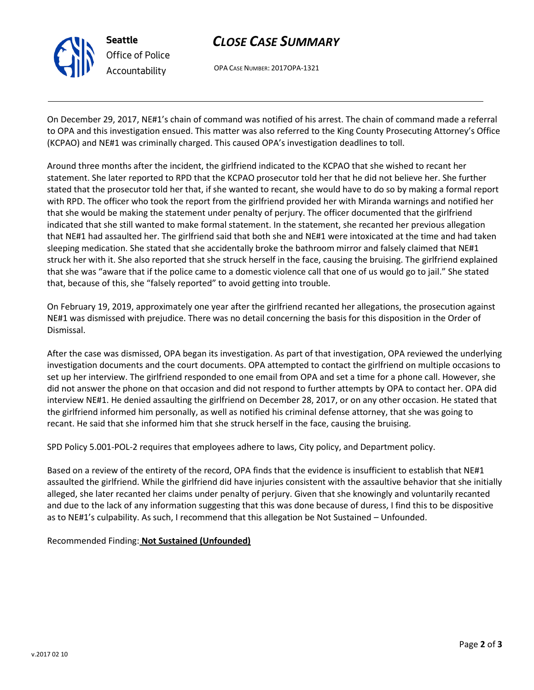

# *CLOSE CASE SUMMARY*

OPA CASE NUMBER: 2017OPA-1321

On December 29, 2017, NE#1's chain of command was notified of his arrest. The chain of command made a referral to OPA and this investigation ensued. This matter was also referred to the King County Prosecuting Attorney's Office (KCPAO) and NE#1 was criminally charged. This caused OPA's investigation deadlines to toll.

Around three months after the incident, the girlfriend indicated to the KCPAO that she wished to recant her statement. She later reported to RPD that the KCPAO prosecutor told her that he did not believe her. She further stated that the prosecutor told her that, if she wanted to recant, she would have to do so by making a formal report with RPD. The officer who took the report from the girlfriend provided her with Miranda warnings and notified her that she would be making the statement under penalty of perjury. The officer documented that the girlfriend indicated that she still wanted to make formal statement. In the statement, she recanted her previous allegation that NE#1 had assaulted her. The girlfriend said that both she and NE#1 were intoxicated at the time and had taken sleeping medication. She stated that she accidentally broke the bathroom mirror and falsely claimed that NE#1 struck her with it. She also reported that she struck herself in the face, causing the bruising. The girlfriend explained that she was "aware that if the police came to a domestic violence call that one of us would go to jail." She stated that, because of this, she "falsely reported" to avoid getting into trouble.

On February 19, 2019, approximately one year after the girlfriend recanted her allegations, the prosecution against NE#1 was dismissed with prejudice. There was no detail concerning the basis for this disposition in the Order of Dismissal.

After the case was dismissed, OPA began its investigation. As part of that investigation, OPA reviewed the underlying investigation documents and the court documents. OPA attempted to contact the girlfriend on multiple occasions to set up her interview. The girlfriend responded to one email from OPA and set a time for a phone call. However, she did not answer the phone on that occasion and did not respond to further attempts by OPA to contact her. OPA did interview NE#1. He denied assaulting the girlfriend on December 28, 2017, or on any other occasion. He stated that the girlfriend informed him personally, as well as notified his criminal defense attorney, that she was going to recant. He said that she informed him that she struck herself in the face, causing the bruising.

SPD Policy 5.001-POL-2 requires that employees adhere to laws, City policy, and Department policy.

Based on a review of the entirety of the record, OPA finds that the evidence is insufficient to establish that NE#1 assaulted the girlfriend. While the girlfriend did have injuries consistent with the assaultive behavior that she initially alleged, she later recanted her claims under penalty of perjury. Given that she knowingly and voluntarily recanted and due to the lack of any information suggesting that this was done because of duress, I find this to be dispositive as to NE#1's culpability. As such, I recommend that this allegation be Not Sustained – Unfounded.

Recommended Finding: **Not Sustained (Unfounded)**